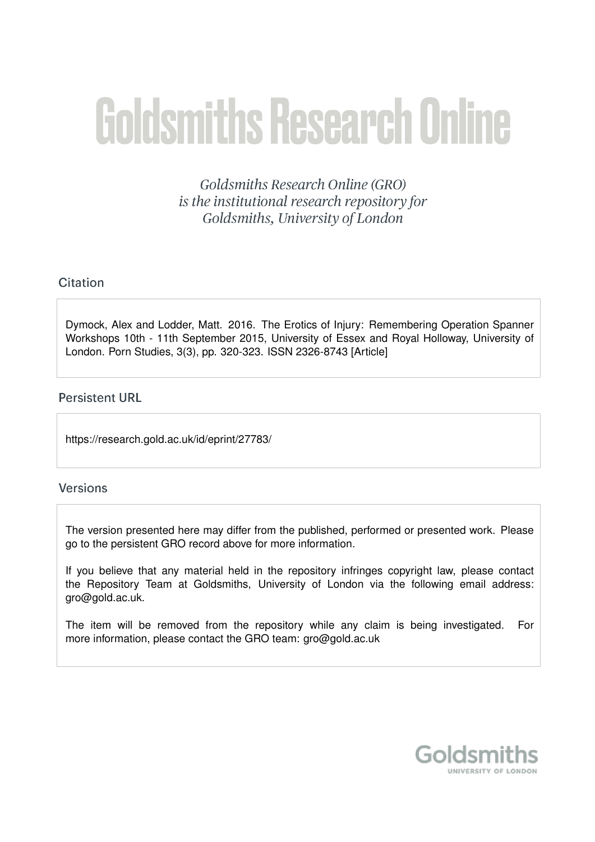# **Goldsmiths Research Online**

Goldsmiths Research Online (GRO) is the institutional research repository for Goldsmiths, University of London

## Citation

Dymock, Alex and Lodder, Matt. 2016. The Erotics of Injury: Remembering Operation Spanner Workshops 10th - 11th September 2015, University of Essex and Royal Holloway, University of London. Porn Studies, 3(3), pp. 320-323. ISSN 2326-8743 [Article]

## **Persistent URL**

https://research.gold.ac.uk/id/eprint/27783/

#### **Versions**

The version presented here may differ from the published, performed or presented work. Please go to the persistent GRO record above for more information.

If you believe that any material held in the repository infringes copyright law, please contact the Repository Team at Goldsmiths, University of London via the following email address: gro@gold.ac.uk.

The item will be removed from the repository while any claim is being investigated. For more information, please contact the GRO team: gro@gold.ac.uk

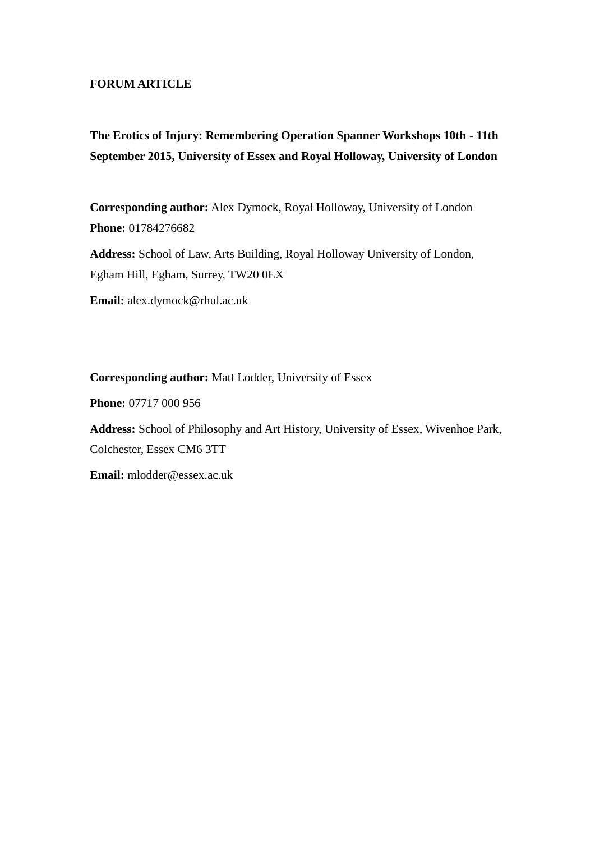#### **FORUM ARTICLE**

# **The Erotics of Injury: Remembering Operation Spanner Workshops 10th - 11th September 2015, University of Essex and Royal Holloway, University of London**

**Corresponding author:** Alex Dymock, Royal Holloway, University of London **Phone:** 01784276682

**Address:** School of Law, Arts Building, Royal Holloway University of London, Egham Hill, Egham, Surrey, TW20 0EX

**Email:** alex.dymock@rhul.ac.uk

**Corresponding author:** Matt Lodder, University of Essex

**Phone:** 07717 000 956

**Address:** School of Philosophy and Art History, University of Essex, Wivenhoe Park, Colchester, Essex CM6 3TT

**Email:** mlodder@essex.ac.uk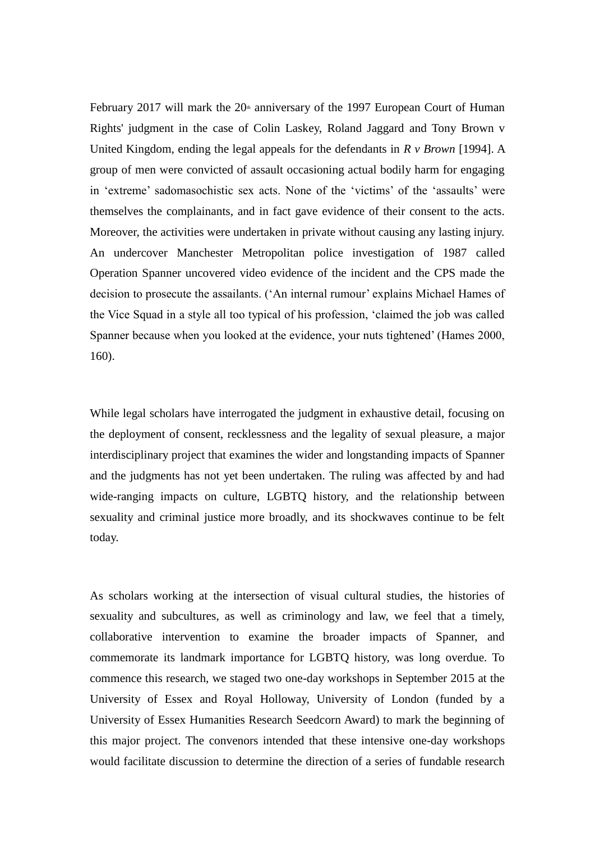February 2017 will mark the  $20<sup>th</sup>$  anniversary of the 1997 European Court of Human Rights' judgment in the case of Colin Laskey, Roland Jaggard and Tony Brown v United Kingdom, ending the legal appeals for the defendants in *R v Brown* [1994]. A group of men were convicted of assault occasioning actual bodily harm for engaging in 'extreme' sadomasochistic sex acts. None of the 'victims' of the 'assaults' were themselves the complainants, and in fact gave evidence of their consent to the acts. Moreover, the activities were undertaken in private without causing any lasting injury. An undercover Manchester Metropolitan police investigation of 1987 called Operation Spanner uncovered video evidence of the incident and the CPS made the decision to prosecute the assailants. ('An internal rumour' explains Michael Hames of the Vice Squad in a style all too typical of his profession, 'claimed the job was called Spanner because when you looked at the evidence, your nuts tightened' (Hames 2000, 160).

While legal scholars have interrogated the judgment in exhaustive detail, focusing on the deployment of consent, recklessness and the legality of sexual pleasure, a major interdisciplinary project that examines the wider and longstanding impacts of Spanner and the judgments has not yet been undertaken. The ruling was affected by and had wide-ranging impacts on culture, LGBTQ history, and the relationship between sexuality and criminal justice more broadly, and its shockwaves continue to be felt today.

As scholars working at the intersection of visual cultural studies, the histories of sexuality and subcultures, as well as criminology and law, we feel that a timely, collaborative intervention to examine the broader impacts of Spanner, and commemorate its landmark importance for LGBTQ history, was long overdue. To commence this research, we staged two one-day workshops in September 2015 at the University of Essex and Royal Holloway, University of London (funded by a University of Essex Humanities Research Seedcorn Award) to mark the beginning of this major project. The convenors intended that these intensive one-day workshops would facilitate discussion to determine the direction of a series of fundable research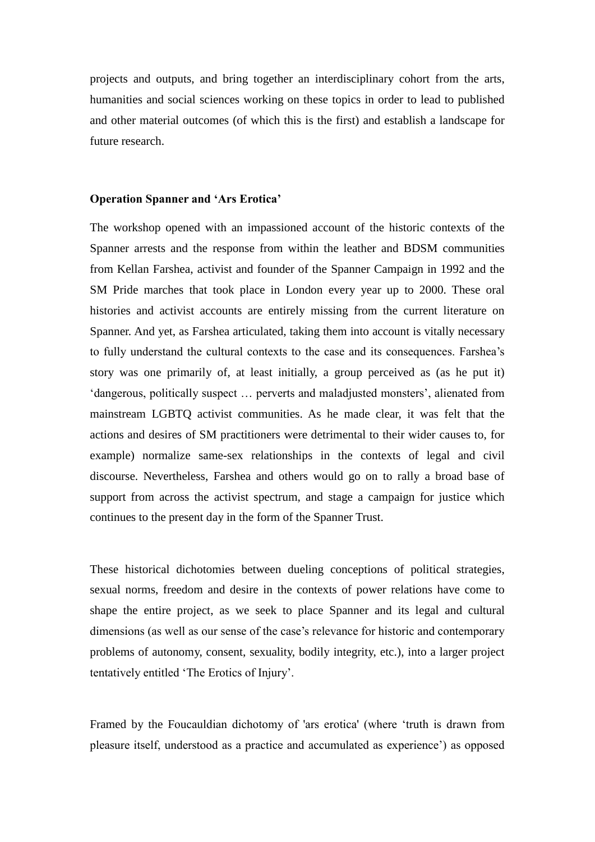projects and outputs, and bring together an interdisciplinary cohort from the arts, humanities and social sciences working on these topics in order to lead to published and other material outcomes (of which this is the first) and establish a landscape for future research.

#### **Operation Spanner and 'Ars Erotica'**

The workshop opened with an impassioned account of the historic contexts of the Spanner arrests and the response from within the leather and BDSM communities from Kellan Farshea, activist and founder of the Spanner Campaign in 1992 and the SM Pride marches that took place in London every year up to 2000. These oral histories and activist accounts are entirely missing from the current literature on Spanner. And yet, as Farshea articulated, taking them into account is vitally necessary to fully understand the cultural contexts to the case and its consequences. Farshea's story was one primarily of, at least initially, a group perceived as (as he put it) 'dangerous, politically suspect … perverts and maladjusted monsters', alienated from mainstream LGBTQ activist communities. As he made clear, it was felt that the actions and desires of SM practitioners were detrimental to their wider causes to, for example) normalize same-sex relationships in the contexts of legal and civil discourse. Nevertheless, Farshea and others would go on to rally a broad base of support from across the activist spectrum, and stage a campaign for justice which continues to the present day in the form of the Spanner Trust.

These historical dichotomies between dueling conceptions of political strategies, sexual norms, freedom and desire in the contexts of power relations have come to shape the entire project, as we seek to place Spanner and its legal and cultural dimensions (as well as our sense of the case's relevance for historic and contemporary problems of autonomy, consent, sexuality, bodily integrity, etc.), into a larger project tentatively entitled 'The Erotics of Injury'.

Framed by the Foucauldian dichotomy of 'ars erotica' (where 'truth is drawn from pleasure itself, understood as a practice and accumulated as experience') as opposed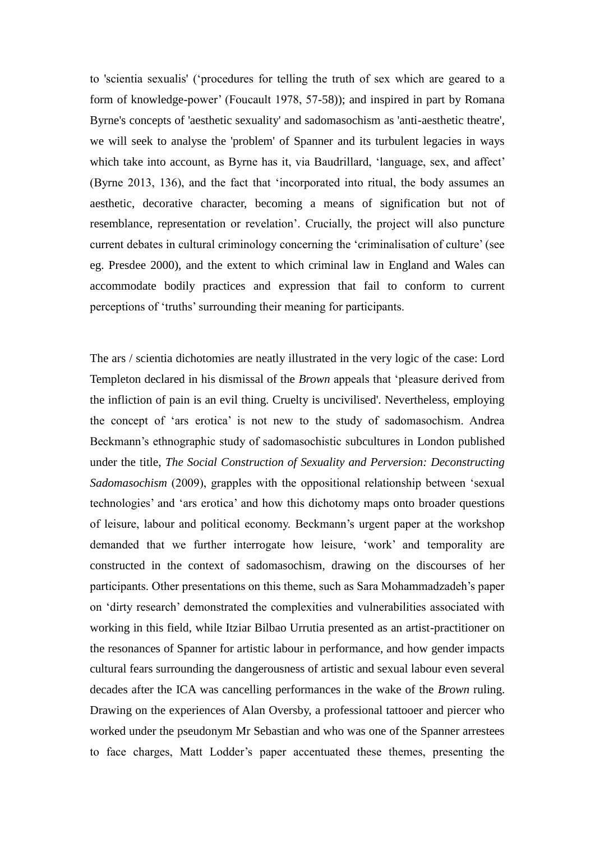to 'scientia sexualis' ('procedures for telling the truth of sex which are geared to a form of knowledge-power' (Foucault 1978, 57-58)); and inspired in part by Romana Byrne's concepts of 'aesthetic sexuality' and sadomasochism as 'anti-aesthetic theatre', we will seek to analyse the 'problem' of Spanner and its turbulent legacies in ways which take into account, as Byrne has it, via Baudrillard, 'language, sex, and affect' (Byrne 2013, 136), and the fact that 'incorporated into ritual, the body assumes an aesthetic, decorative character, becoming a means of signification but not of resemblance, representation or revelation'. Crucially, the project will also puncture current debates in cultural criminology concerning the 'criminalisation of culture' (see eg. Presdee 2000), and the extent to which criminal law in England and Wales can accommodate bodily practices and expression that fail to conform to current perceptions of 'truths' surrounding their meaning for participants.

The ars / scientia dichotomies are neatly illustrated in the very logic of the case: Lord Templeton declared in his dismissal of the *Brown* appeals that 'pleasure derived from the infliction of pain is an evil thing. Cruelty is uncivilised'. Nevertheless, employing the concept of 'ars erotica' is not new to the study of sadomasochism. Andrea Beckmann's ethnographic study of sadomasochistic subcultures in London published under the title, *The Social Construction of Sexuality and Perversion: Deconstructing Sadomasochism* (2009), grapples with the oppositional relationship between 'sexual technologies' and 'ars erotica' and how this dichotomy maps onto broader questions of leisure, labour and political economy. Beckmann's urgent paper at the workshop demanded that we further interrogate how leisure, 'work' and temporality are constructed in the context of sadomasochism, drawing on the discourses of her participants. Other presentations on this theme, such as Sara Mohammadzadeh's paper on 'dirty research' demonstrated the complexities and vulnerabilities associated with working in this field, while Itziar Bilbao Urrutia presented as an artist-practitioner on the resonances of Spanner for artistic labour in performance, and how gender impacts cultural fears surrounding the dangerousness of artistic and sexual labour even several decades after the ICA was cancelling performances in the wake of the *Brown* ruling. Drawing on the experiences of Alan Oversby, a professional tattooer and piercer who worked under the pseudonym Mr Sebastian and who was one of the Spanner arrestees to face charges, Matt Lodder's paper accentuated these themes, presenting the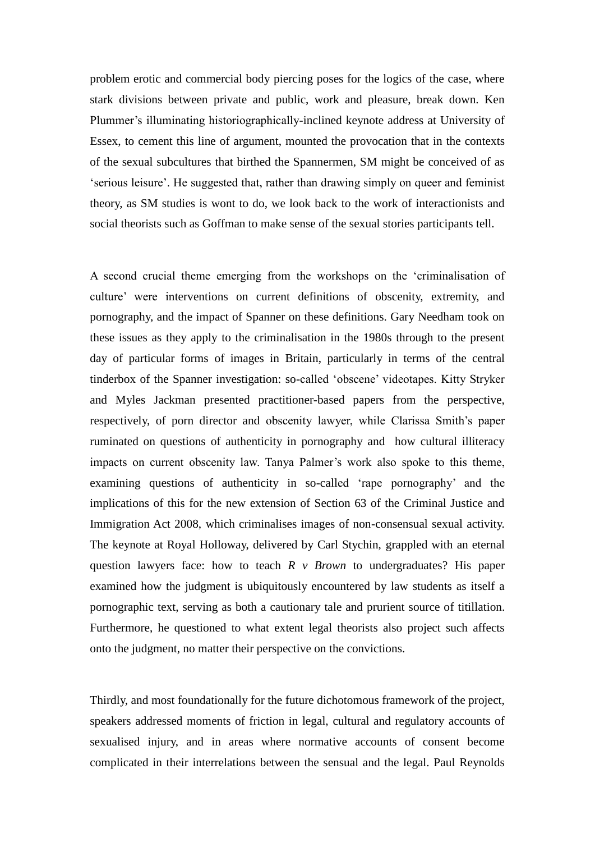problem erotic and commercial body piercing poses for the logics of the case, where stark divisions between private and public, work and pleasure, break down. Ken Plummer's illuminating historiographically-inclined keynote address at University of Essex, to cement this line of argument, mounted the provocation that in the contexts of the sexual subcultures that birthed the Spannermen, SM might be conceived of as 'serious leisure'. He suggested that, rather than drawing simply on queer and feminist theory, as SM studies is wont to do, we look back to the work of interactionists and social theorists such as Goffman to make sense of the sexual stories participants tell.

A second crucial theme emerging from the workshops on the 'criminalisation of culture' were interventions on current definitions of obscenity, extremity, and pornography, and the impact of Spanner on these definitions. Gary Needham took on these issues as they apply to the criminalisation in the 1980s through to the present day of particular forms of images in Britain, particularly in terms of the central tinderbox of the Spanner investigation: so-called 'obscene' videotapes. Kitty Stryker and Myles Jackman presented practitioner-based papers from the perspective, respectively, of porn director and obscenity lawyer, while Clarissa Smith's paper ruminated on questions of authenticity in pornography and how cultural illiteracy impacts on current obscenity law. Tanya Palmer's work also spoke to this theme, examining questions of authenticity in so-called 'rape pornography' and the implications of this for the new extension of Section 63 of the Criminal Justice and Immigration Act 2008, which criminalises images of non-consensual sexual activity. The keynote at Royal Holloway, delivered by Carl Stychin, grappled with an eternal question lawyers face: how to teach *R v Brown* to undergraduates? His paper examined how the judgment is ubiquitously encountered by law students as itself a pornographic text, serving as both a cautionary tale and prurient source of titillation. Furthermore, he questioned to what extent legal theorists also project such affects onto the judgment, no matter their perspective on the convictions.

Thirdly, and most foundationally for the future dichotomous framework of the project, speakers addressed moments of friction in legal, cultural and regulatory accounts of sexualised injury, and in areas where normative accounts of consent become complicated in their interrelations between the sensual and the legal. Paul Reynolds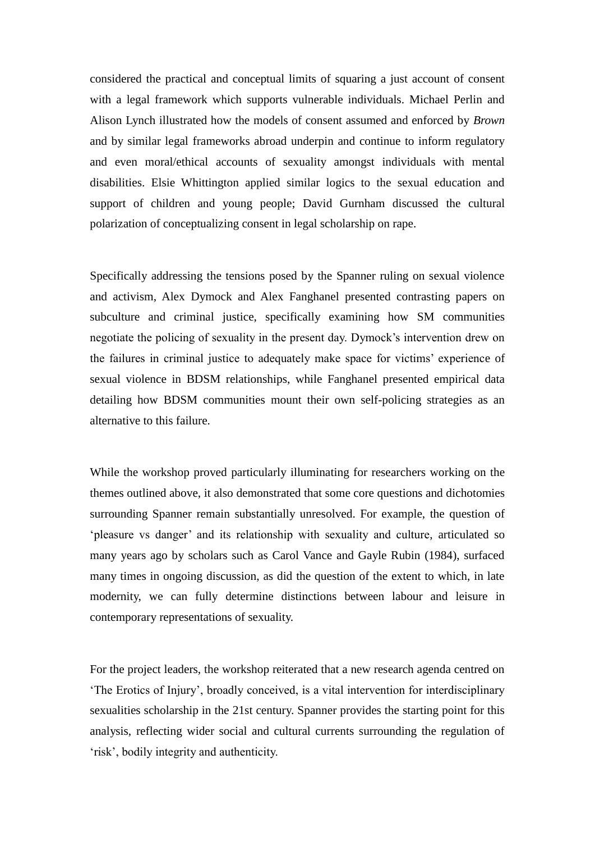considered the practical and conceptual limits of squaring a just account of consent with a legal framework which supports vulnerable individuals. Michael Perlin and Alison Lynch illustrated how the models of consent assumed and enforced by *Brown* and by similar legal frameworks abroad underpin and continue to inform regulatory and even moral/ethical accounts of sexuality amongst individuals with mental disabilities. Elsie Whittington applied similar logics to the sexual education and support of children and young people; David Gurnham discussed the cultural polarization of conceptualizing consent in legal scholarship on rape.

Specifically addressing the tensions posed by the Spanner ruling on sexual violence and activism, Alex Dymock and Alex Fanghanel presented contrasting papers on subculture and criminal justice, specifically examining how SM communities negotiate the policing of sexuality in the present day. Dymock's intervention drew on the failures in criminal justice to adequately make space for victims' experience of sexual violence in BDSM relationships, while Fanghanel presented empirical data detailing how BDSM communities mount their own self-policing strategies as an alternative to this failure.

While the workshop proved particularly illuminating for researchers working on the themes outlined above, it also demonstrated that some core questions and dichotomies surrounding Spanner remain substantially unresolved. For example, the question of 'pleasure vs danger' and its relationship with sexuality and culture, articulated so many years ago by scholars such as Carol Vance and Gayle Rubin (1984), surfaced many times in ongoing discussion, as did the question of the extent to which, in late modernity, we can fully determine distinctions between labour and leisure in contemporary representations of sexuality.

For the project leaders, the workshop reiterated that a new research agenda centred on 'The Erotics of Injury', broadly conceived, is a vital intervention for interdisciplinary sexualities scholarship in the 21st century. Spanner provides the starting point for this analysis, reflecting wider social and cultural currents surrounding the regulation of 'risk', bodily integrity and authenticity.